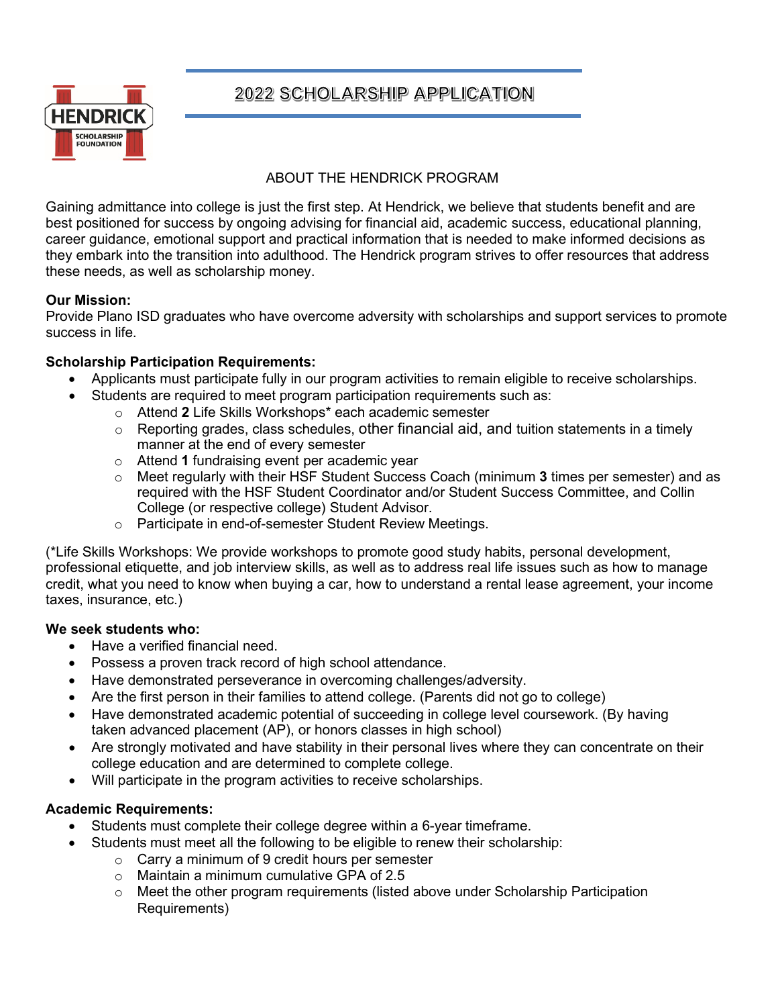

# 2022 SCHOLARSHIP APPLICATION

### ABOUT THE HENDRICK PROGRAM

Gaining admittance into college is just the first step. At Hendrick, we believe that students benefit and are best positioned for success by ongoing advising for financial aid, academic success, educational planning, career guidance, emotional support and practical information that is needed to make informed decisions as they embark into the transition into adulthood. The Hendrick program strives to offer resources that address these needs, as well as scholarship money.

#### **Our Mission:**

Provide Plano ISD graduates who have overcome adversity with scholarships and support services to promote success in life.

#### **Scholarship Participation Requirements:**

- Applicants must participate fully in our program activities to remain eligible to receive scholarships.
- Students are required to meet program participation requirements such as:
	- o Attend **2** Life Skills Workshops\* each academic semester
	- $\circ$  Reporting grades, class schedules, other financial aid, and tuition statements in a timely manner at the end of every semester
	- o Attend **1** fundraising event per academic year
	- o Meet regularly with their HSF Student Success Coach (minimum **3** times per semester) and as required with the HSF Student Coordinator and/or Student Success Committee, and Collin College (or respective college) Student Advisor.
	- o Participate in end-of-semester Student Review Meetings.

(\*Life Skills Workshops: We provide workshops to promote good study habits, personal development, professional etiquette, and job interview skills, as well as to address real life issues such as how to manage credit, what you need to know when buying a car, how to understand a rental lease agreement, your income taxes, insurance, etc.)

#### **We seek students who:**

- Have a verified financial need.
- Possess a proven track record of high school attendance.
- Have demonstrated perseverance in overcoming challenges/adversity.
- Are the first person in their families to attend college. (Parents did not go to college)
- Have demonstrated academic potential of succeeding in college level coursework. (By having taken advanced placement (AP), or honors classes in high school)
- Are strongly motivated and have stability in their personal lives where they can concentrate on their college education and are determined to complete college.
- Will participate in the program activities to receive scholarships.

### **Academic Requirements:**

- Students must complete their college degree within a 6-year timeframe.
- Students must meet all the following to be eligible to renew their scholarship:
	- $\circ$  Carry a minimum of 9 credit hours per semester
	- o Maintain a minimum cumulative GPA of 2.5
	- $\circ$  Meet the other program requirements (listed above under Scholarship Participation Requirements)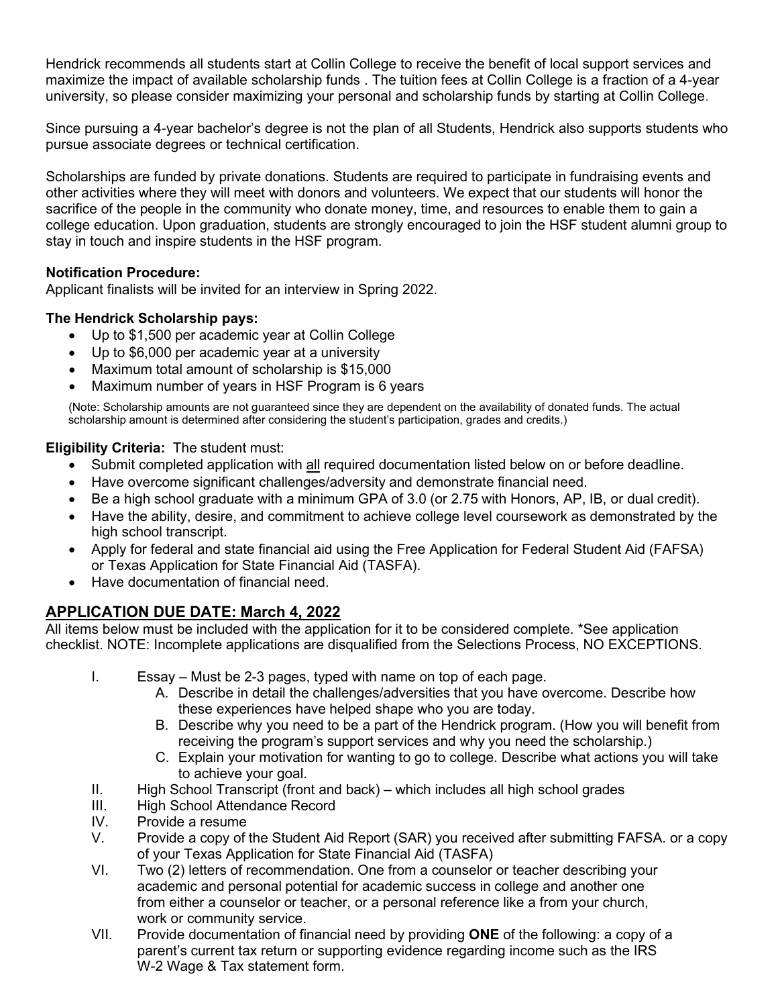Hendrick recommends all students start at Collin College to receive the benefit of local support services and maximize the impact of available scholarship funds . The tuition fees at Collin College is a fraction of a 4-year university, so please consider maximizing your personal and scholarship funds by starting at Collin College.

Since pursuing a 4-year bachelor's degree is not the plan of all Students, Hendrick also supports students who pursue associate degrees or technical certification.

Scholarships are funded by private donations. Students are required to participate in fundraising events and other activities where they will meet with donors and volunteers. We expect that our students will honor the sacrifice of the people in the community who donate money, time, and resources to enable them to gain a college education. Upon graduation, students are strongly encouraged to join the HSF student alumni group to stay in touch and inspire students in the HSF program.

#### **Notification Procedure:**

Applicant finalists will be invited for an interview in Spring 2022.

#### **The Hendrick Scholarship pays:**

- Up to \$1,500 per academic year at Collin College
- Up to \$6,000 per academic year at a university
- Maximum total amount of scholarship is \$15,000
- Maximum number of years in HSF Program is 6 years

(Note: Scholarship amounts are not guaranteed since they are dependent on the availability of donated funds. The actual scholarship amount is determined after considering the student's participation, grades and credits.)

#### **Eligibility Criteria:** The student must:

- Submit completed application with all required documentation listed below on or before deadline.
- Have overcome significant challenges/adversity and demonstrate financial need.
- Be a high school graduate with a minimum GPA of 3.0 (or 2.75 with Honors, AP, IB, or dual credit).
- Have the ability, desire, and commitment to achieve college level coursework as demonstrated by the high school transcript.
- Apply for federal and state financial aid using the Free Application for Federal Student Aid (FAFSA) or Texas Application for State Financial Aid (TASFA).
- Have documentation of financial need.

## **APPLICATION DUE DATE: March 4, 2022**

All items below must be included with the application for it to be considered complete. \*See application checklist. NOTE: Incomplete applications are disqualified from the Selections Process, NO EXCEPTIONS.

- I. Essay Must be 2-3 pages, typed with name on top of each page.
	- A. Describe in detail the challenges/adversities that you have overcome. Describe how these experiences have helped shape who you are today.
	- B. Describe why you need to be a part of the Hendrick program. (How you will benefit from receiving the program's support services and why you need the scholarship.)
	- C. Explain your motivation for wanting to go to college. Describe what actions you will take to achieve your goal.
- II. High School Transcript (front and back) which includes all high school grades
- III. High School Attendance Record
- IV. Provide a resume
- V. Provide a copy of the Student Aid Report (SAR) you received after submitting FAFSA. or a copy of your Texas Application for State Financial Aid (TASFA)
- VI. Two (2) letters of recommendation. One from a counselor or teacher describing your academic and personal potential for academic success in college and another one from either a counselor or teacher, or a personal reference like a from your church, work or community service.
- VII. Provide documentation of financial need by providing **ONE** of the following: a copy of a parent's current tax return or supporting evidence regarding income such as the IRS W-2 Wage & Tax statement form.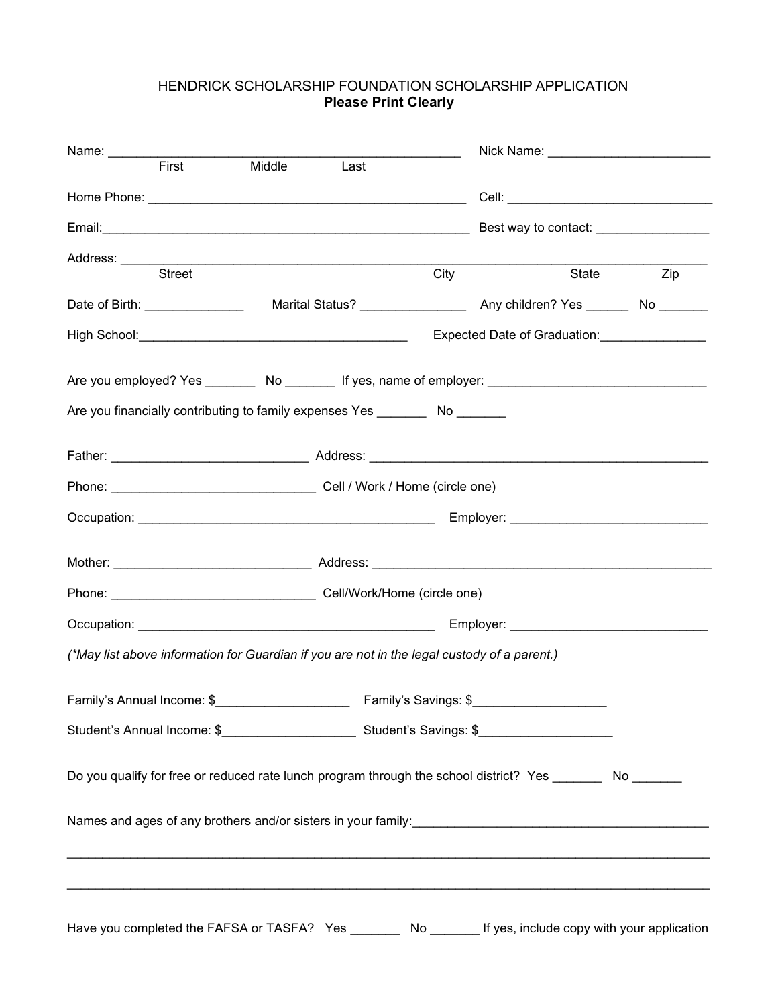#### HENDRICK SCHOLARSHIP FOUNDATION SCHOLARSHIP APPLICATION **Please Print Clearly**

|                                                                                                                                                                                         |  |                   | Nick Name: ____________________________ |                  |  |
|-----------------------------------------------------------------------------------------------------------------------------------------------------------------------------------------|--|-------------------|-----------------------------------------|------------------|--|
|                                                                                                                                                                                         |  |                   |                                         |                  |  |
|                                                                                                                                                                                         |  |                   |                                         |                  |  |
|                                                                                                                                                                                         |  |                   | Best way to contact: _________________  |                  |  |
| Street                                                                                                                                                                                  |  | $\overline{City}$ | State                                   | $\overline{Zip}$ |  |
|                                                                                                                                                                                         |  |                   |                                         |                  |  |
|                                                                                                                                                                                         |  |                   |                                         |                  |  |
|                                                                                                                                                                                         |  |                   |                                         |                  |  |
|                                                                                                                                                                                         |  |                   |                                         |                  |  |
| Are you financially contributing to family expenses Yes ________ No _______                                                                                                             |  |                   |                                         |                  |  |
|                                                                                                                                                                                         |  |                   |                                         |                  |  |
|                                                                                                                                                                                         |  |                   |                                         |                  |  |
|                                                                                                                                                                                         |  |                   |                                         |                  |  |
|                                                                                                                                                                                         |  |                   |                                         |                  |  |
|                                                                                                                                                                                         |  |                   |                                         |                  |  |
|                                                                                                                                                                                         |  |                   |                                         |                  |  |
|                                                                                                                                                                                         |  |                   |                                         |                  |  |
| (*May list above information for Guardian if you are not in the legal custody of a parent.)                                                                                             |  |                   |                                         |                  |  |
|                                                                                                                                                                                         |  |                   |                                         |                  |  |
|                                                                                                                                                                                         |  |                   |                                         |                  |  |
| Do you qualify for free or reduced rate lunch program through the school district? Yes _________ No _______                                                                             |  |                   |                                         |                  |  |
| Names and ages of any brothers and/or sisters in your family:<br>Names and ages of any brothers and/or sisters in your family:<br>2020 - 2021 - 2022 - 2022 - 2022 - 2022 - 2023 - 2024 |  |                   |                                         |                  |  |
|                                                                                                                                                                                         |  |                   |                                         |                  |  |
|                                                                                                                                                                                         |  |                   |                                         |                  |  |